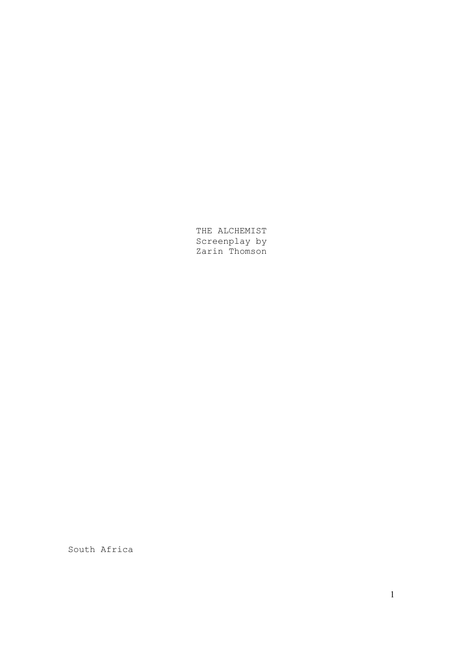THE ALCHEMIST Screenplay by Zarin Thomson

South Africa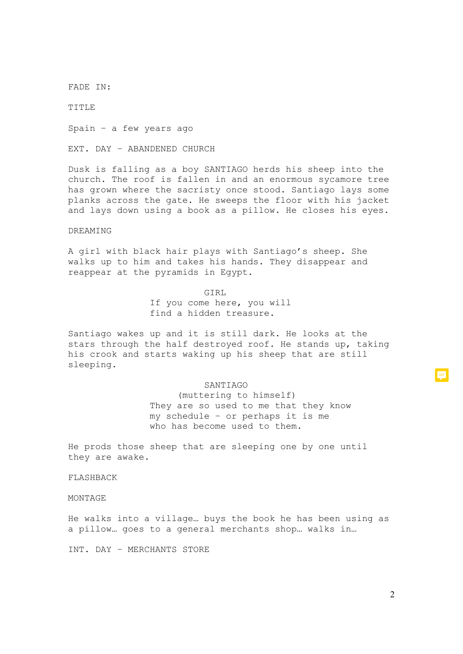FADE IN:

TITLE

Spain – a few years ago

EXT. DAY – ABANDENED CHURCH

Dusk is falling as a boy SANTIAGO herds his sheep into the church. The roof is fallen in and an enormous sycamore tree has grown where the sacristy once stood. Santiago lays some planks across the gate. He sweeps the floor with his jacket and lays down using a book as a pillow. He closes his eyes.

### DREAMING

A girl with black hair plays with Santiago's sheep. She walks up to him and takes his hands. They disappear and reappear at the pyramids in Egypt.

### GIRL

If you come here, you will find a hidden treasure.

Santiago wakes up and it is still dark. He looks at the stars through the half destroyed roof. He stands up, taking his crook and starts waking up his sheep that are still sleeping.

#### SANTIAGO

(muttering to himself) They are so used to me that they know my schedule – or perhaps it is me who has become used to them.

He prods those sheep that are sleeping one by one until they are awake.

### FLASHBACK

MONTAGE

He walks into a village… buys the book he has been using as a pillow… goes to a general merchants shop… walks in…

INT. DAY – MERCHANTS STORE